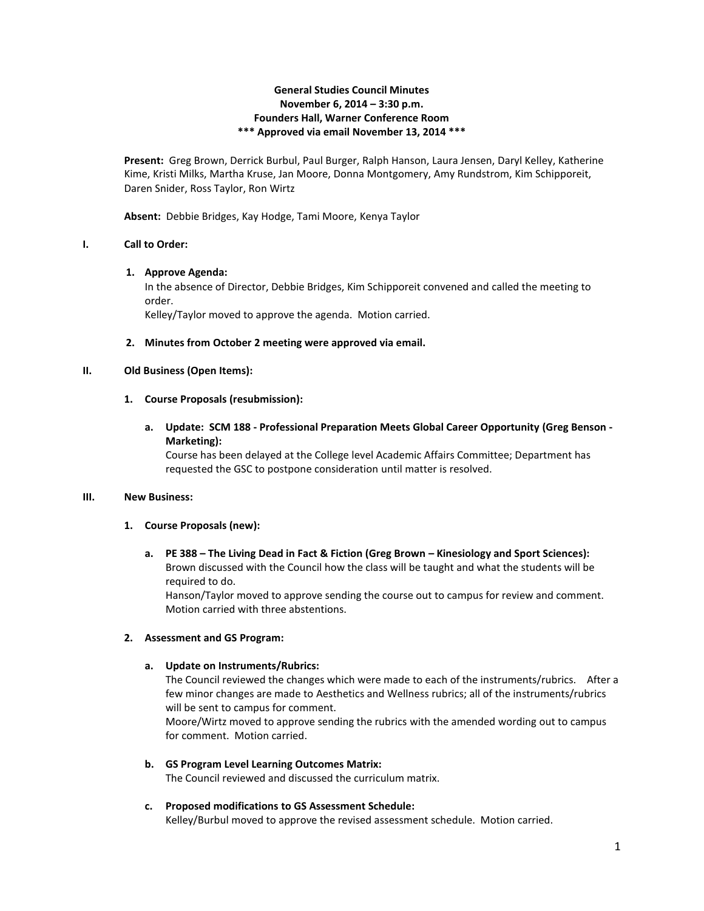## **General Studies Council Minutes November 6, 2014 – 3:30 p.m. Founders Hall, Warner Conference Room \*\*\* Approved via email November 13, 2014 \*\*\***

**Present:** Greg Brown, Derrick Burbul, Paul Burger, Ralph Hanson, Laura Jensen, Daryl Kelley, Katherine Kime, Kristi Milks, Martha Kruse, Jan Moore, Donna Montgomery, Amy Rundstrom, Kim Schipporeit, Daren Snider, Ross Taylor, Ron Wirtz

**Absent:** Debbie Bridges, Kay Hodge, Tami Moore, Kenya Taylor

## **I. Call to Order:**

#### **1. Approve Agenda:**

In the absence of Director, Debbie Bridges, Kim Schipporeit convened and called the meeting to order.

Kelley/Taylor moved to approve the agenda. Motion carried.

#### **2. Minutes from October 2 meeting were approved via email.**

#### **II. Old Business (Open Items):**

#### **1. Course Proposals (resubmission):**

# **a. Update: SCM 188 - Professional Preparation Meets Global Career Opportunity (Greg Benson - Marketing):**

Course has been delayed at the College level Academic Affairs Committee; Department has requested the GSC to postpone consideration until matter is resolved.

#### **III. New Business:**

## **1. Course Proposals (new):**

#### **a. PE 388 – The Living Dead in Fact & Fiction (Greg Brown – Kinesiology and Sport Sciences):** Brown discussed with the Council how the class will be taught and what the students will be required to do.

Hanson/Taylor moved to approve sending the course out to campus for review and comment. Motion carried with three abstentions.

## **2. Assessment and GS Program:**

#### **a. Update on Instruments/Rubrics:**

The Council reviewed the changes which were made to each of the instruments/rubrics. After a few minor changes are made to Aesthetics and Wellness rubrics; all of the instruments/rubrics will be sent to campus for comment.

Moore/Wirtz moved to approve sending the rubrics with the amended wording out to campus for comment. Motion carried.

**b. GS Program Level Learning Outcomes Matrix:** The Council reviewed and discussed the curriculum matrix.

# **c. Proposed modifications to GS Assessment Schedule:**

Kelley/Burbul moved to approve the revised assessment schedule. Motion carried.